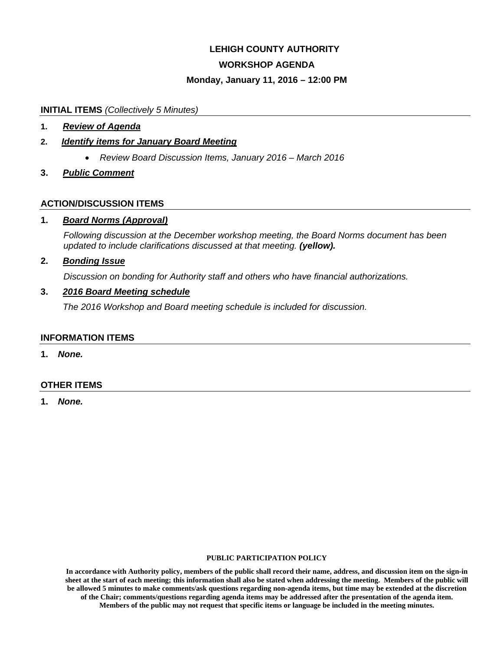# **LEHIGH COUNTY AUTHORITY WORKSHOP AGENDA**

# **Monday, January 11, 2016 – 12:00 PM**

#### **INITIAL ITEMS** *(Collectively 5 Minutes)*

**1.** *Review of Agenda* 

#### **2.** *Identify items for January Board Meeting*

- *Review Board Discussion Items, January 2016 March 2016*
- **3.** *Public Comment*

#### **ACTION/DISCUSSION ITEMS**

#### **1.** *Board Norms (Approval)*

*Following discussion at the December workshop meeting, the Board Norms document has been updated to include clarifications discussed at that meeting. (yellow).* 

#### **2.** *Bonding Issue*

*Discussion on bonding for Authority staff and others who have financial authorizations.* 

#### **3.** *2016 Board Meeting schedule*

*The 2016 Workshop and Board meeting schedule is included for discussion.* 

#### **INFORMATION ITEMS**

**1.** *None.* 

#### **OTHER ITEMS**

**1.** *None.*

#### **PUBLIC PARTICIPATION POLICY**

**In accordance with Authority policy, members of the public shall record their name, address, and discussion item on the sign-in sheet at the start of each meeting; this information shall also be stated when addressing the meeting. Members of the public will be allowed 5 minutes to make comments/ask questions regarding non-agenda items, but time may be extended at the discretion of the Chair; comments/questions regarding agenda items may be addressed after the presentation of the agenda item. Members of the public may not request that specific items or language be included in the meeting minutes.**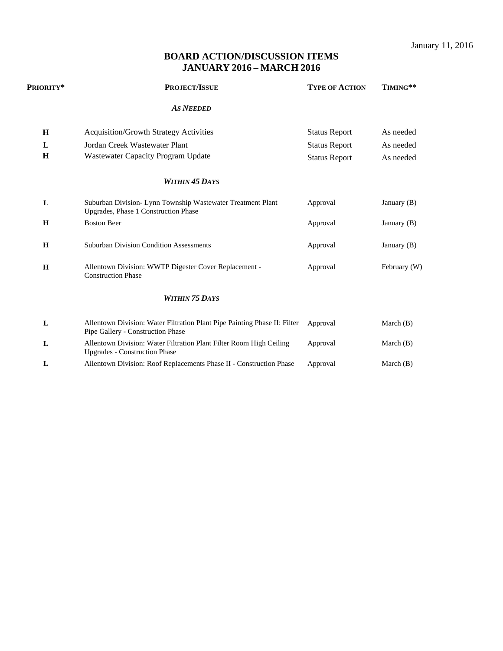January 11, 2016

# **BOARD ACTION/DISCUSSION ITEMS JANUARY 2016 – MARCH 2016**

| PRIORITY* | <b>PROJECT/ISSUE</b>                                                                                           | <b>TYPE OF ACTION</b> | TIMING**      |
|-----------|----------------------------------------------------------------------------------------------------------------|-----------------------|---------------|
|           | <b>AS NEEDED</b>                                                                                               |                       |               |
| H         | <b>Acquisition/Growth Strategy Activities</b>                                                                  | <b>Status Report</b>  | As needed     |
| L         | Jordan Creek Wastewater Plant                                                                                  | <b>Status Report</b>  | As needed     |
| H         | Wastewater Capacity Program Update                                                                             | <b>Status Report</b>  | As needed     |
|           | <b>WITHIN 45 DAYS</b>                                                                                          |                       |               |
| L         | Suburban Division- Lynn Township Wastewater Treatment Plant<br>Upgrades, Phase 1 Construction Phase            | Approval              | January $(B)$ |
| H         | <b>Boston Beer</b>                                                                                             | Approval              | January $(B)$ |
| H         | <b>Suburban Division Condition Assessments</b>                                                                 | Approval              | January $(B)$ |
| H         | Allentown Division: WWTP Digester Cover Replacement -<br><b>Construction Phase</b>                             | Approval              | February (W)  |
|           | <b>WITHIN 75 DAYS</b>                                                                                          |                       |               |
| L         | Allentown Division: Water Filtration Plant Pipe Painting Phase II: Filter<br>Pipe Gallery - Construction Phase | Approval              | March $(B)$   |
| L         | Allentown Division: Water Filtration Plant Filter Room High Ceiling<br><b>Upgrades - Construction Phase</b>    | Approval              | March $(B)$   |
| L         | Allentown Division: Roof Replacements Phase II - Construction Phase                                            | Approval              | March $(B)$   |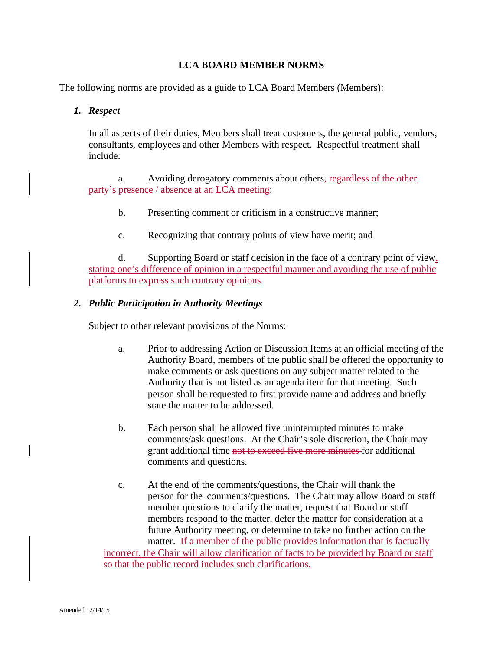# **LCA BOARD MEMBER NORMS**

The following norms are provided as a guide to LCA Board Members (Members):

#### *1. Respect*

In all aspects of their duties, Members shall treat customers, the general public, vendors, consultants, employees and other Members with respect. Respectful treatment shall include:

 a. Avoiding derogatory comments about others, regardless of the other party's presence / absence at an LCA meeting;

- b. Presenting comment or criticism in a constructive manner;
- c. Recognizing that contrary points of view have merit; and

 d. Supporting Board or staff decision in the face of a contrary point of view, stating one's difference of opinion in a respectful manner and avoiding the use of public platforms to express such contrary opinions.

#### *2. Public Participation in Authority Meetings*

Subject to other relevant provisions of the Norms:

- a. Prior to addressing Action or Discussion Items at an official meeting of the Authority Board, members of the public shall be offered the opportunity to make comments or ask questions on any subject matter related to the Authority that is not listed as an agenda item for that meeting. Such person shall be requested to first provide name and address and briefly state the matter to be addressed.
- b. Each person shall be allowed five uninterrupted minutes to make comments/ask questions. At the Chair's sole discretion, the Chair may grant additional time not to exceed five more minutes for additional comments and questions.
- c. At the end of the comments/questions, the Chair will thank the person for the comments/questions. The Chair may allow Board or staff member questions to clarify the matter, request that Board or staff members respond to the matter, defer the matter for consideration at a future Authority meeting, or determine to take no further action on the matter. If a member of the public provides information that is factually incorrect, the Chair will allow clarification of facts to be provided by Board or staff

so that the public record includes such clarifications.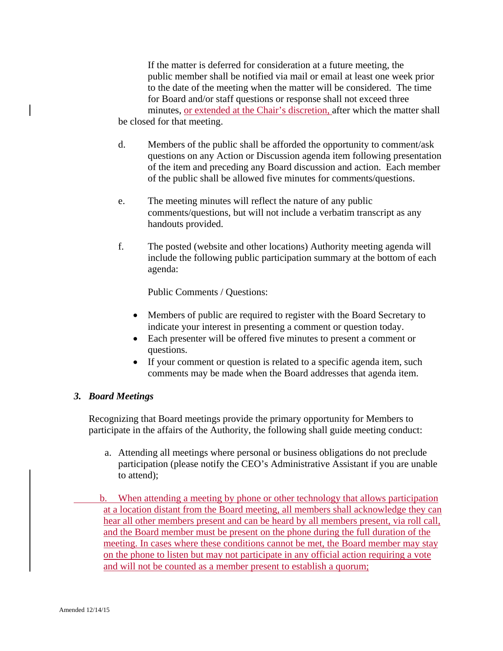If the matter is deferred for consideration at a future meeting, the public member shall be notified via mail or email at least one week prior to the date of the meeting when the matter will be considered. The time for Board and/or staff questions or response shall not exceed three minutes, or extended at the Chair's discretion, after which the matter shall be closed for that meeting.

- d. Members of the public shall be afforded the opportunity to comment/ask questions on any Action or Discussion agenda item following presentation of the item and preceding any Board discussion and action. Each member of the public shall be allowed five minutes for comments/questions.
- e. The meeting minutes will reflect the nature of any public comments/questions, but will not include a verbatim transcript as any handouts provided.
- f. The posted (website and other locations) Authority meeting agenda will include the following public participation summary at the bottom of each agenda:

Public Comments / Questions:

- Members of public are required to register with the Board Secretary to indicate your interest in presenting a comment or question today.
- Each presenter will be offered five minutes to present a comment or questions.
- If your comment or question is related to a specific agenda item, such comments may be made when the Board addresses that agenda item.

### *3. Board Meetings*

 Recognizing that Board meetings provide the primary opportunity for Members to participate in the affairs of the Authority, the following shall guide meeting conduct:

- a. Attending all meetings where personal or business obligations do not preclude participation (please notify the CEO's Administrative Assistant if you are unable to attend);
- b. When attending a meeting by phone or other technology that allows participation at a location distant from the Board meeting, all members shall acknowledge they can hear all other members present and can be heard by all members present, via roll call, and the Board member must be present on the phone during the full duration of the meeting. In cases where these conditions cannot be met, the Board member may stay on the phone to listen but may not participate in any official action requiring a vote and will not be counted as a member present to establish a quorum;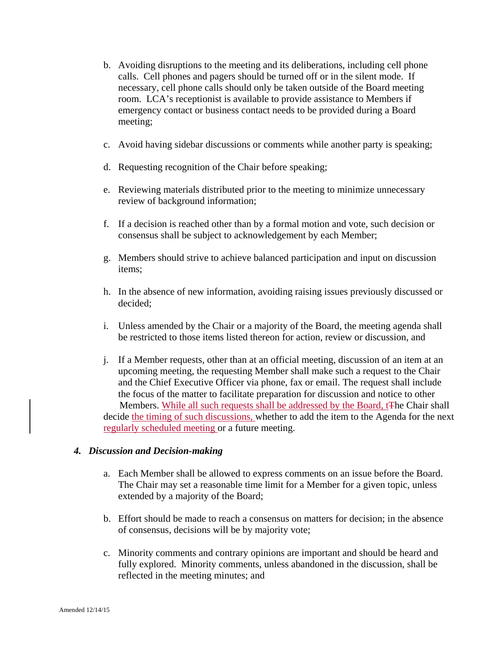- b. Avoiding disruptions to the meeting and its deliberations, including cell phone calls. Cell phones and pagers should be turned off or in the silent mode. If necessary, cell phone calls should only be taken outside of the Board meeting room. LCA's receptionist is available to provide assistance to Members if emergency contact or business contact needs to be provided during a Board meeting;
- c. Avoid having sidebar discussions or comments while another party is speaking;
- d. Requesting recognition of the Chair before speaking;
- e. Reviewing materials distributed prior to the meeting to minimize unnecessary review of background information;
- f. If a decision is reached other than by a formal motion and vote, such decision or consensus shall be subject to acknowledgement by each Member;
- g. Members should strive to achieve balanced participation and input on discussion items;
- h. In the absence of new information, avoiding raising issues previously discussed or decided;
- i. Unless amended by the Chair or a majority of the Board, the meeting agenda shall be restricted to those items listed thereon for action, review or discussion, and
- j. If a Member requests, other than at an official meeting, discussion of an item at an upcoming meeting, the requesting Member shall make such a request to the Chair and the Chief Executive Officer via phone, fax or email. The request shall include the focus of the matter to facilitate preparation for discussion and notice to other Members. While all such requests shall be addressed by the Board, tThe Chair shall decide the timing of such discussions, whether to add the item to the Agenda for the next regularly scheduled meeting or a future meeting.

### *4. Discussion and Decision-making*

- a. Each Member shall be allowed to express comments on an issue before the Board. The Chair may set a reasonable time limit for a Member for a given topic, unless extended by a majority of the Board;
- b. Effort should be made to reach a consensus on matters for decision; in the absence of consensus, decisions will be by majority vote;
- c. Minority comments and contrary opinions are important and should be heard and fully explored. Minority comments, unless abandoned in the discussion, shall be reflected in the meeting minutes; and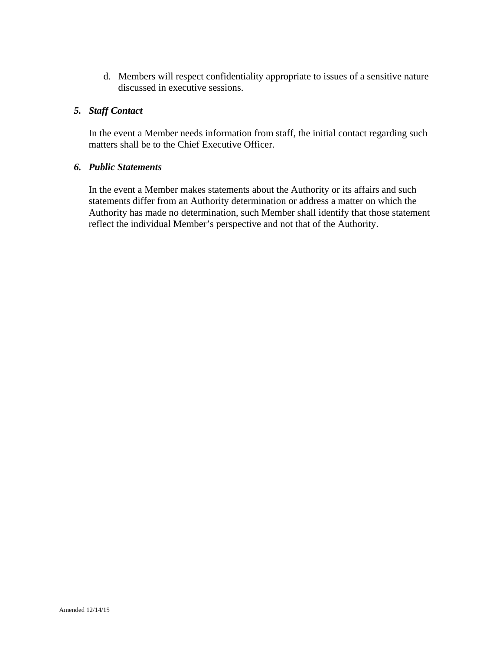d. Members will respect confidentiality appropriate to issues of a sensitive nature discussed in executive sessions.

# *5. Staff Contact*

 In the event a Member needs information from staff, the initial contact regarding such matters shall be to the Chief Executive Officer.

#### *6. Public Statements*

 In the event a Member makes statements about the Authority or its affairs and such statements differ from an Authority determination or address a matter on which the Authority has made no determination, such Member shall identify that those statement reflect the individual Member's perspective and not that of the Authority.